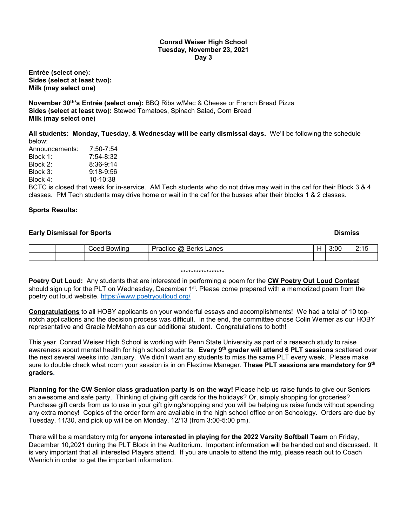#### **Conrad Weiser High School Tuesday, November 23, 2021 Day 3**

**Entrée (select one): Sides (select at least two): Milk (may select one)**

**November 30th's Entrée (select one):** BBQ Ribs w/Mac & Cheese or French Bread Pizza **Sides (select at least two):** Stewed Tomatoes, Spinach Salad, Corn Bread **Milk (may select one)**

**All students: Monday, Tuesday, & Wednesday will be early dismissal days.** We'll be following the schedule below:

| Announcements:                                 | $7:50 - 7:54$ |
|------------------------------------------------|---------------|
| Block 1:                                       | $7:54 - 8:32$ |
| Block 2:                                       | $8:36-9:14$   |
| Block 3:                                       | $9:18-9:56$   |
| Block 4:                                       | $10-10:38$    |
| $\mathsf{DATEC}$ is also ad that we all fax in |               |

BCTC is closed that week for in-service. AM Tech students who do not drive may wait in the caf for their Block 3 & 4 classes. PM Tech students may drive home or wait in the caf for the busses after their blocks 1 & 2 classes.

# **Sports Results:**

## **Early Dismissal for Sports Dismiss**

| `ooc<br>118/111 | -<br>anes<br>.<br>.<br>ια<br>Ber.<br>-<br>зн.<br>n | $\sim$ $\sim$<br>. J | . . |
|-----------------|----------------------------------------------------|----------------------|-----|
|                 |                                                    |                      |     |

#### \*\*\*\*\*\*\*\*\*\*\*\*\*\*\*\*\*

**Poetry Out Loud:** Any students that are interested in performing a poem for the **CW Poetry Out Loud Contest** should sign up for the PLT on Wednesday, December 1<sup>st</sup>. Please come prepared with a memorized poem from the poetry out loud website.<https://www.poetryoutloud.org/>

**Congratulations** to all HOBY applicants on your wonderful essays and accomplishments! We had a total of 10 topnotch applications and the decision process was difficult. In the end, the committee chose Colin Werner as our HOBY representative and Gracie McMahon as our additional student. Congratulations to both!

This year, Conrad Weiser High School is working with Penn State University as part of a research study to raise awareness about mental health for high school students. **Every 9th grader will attend 6 PLT sessions** scattered over the next several weeks into January. We didn't want any students to miss the same PLT every week. Please make sure to double check what room your session is in on Flextime Manager. **These PLT sessions are mandatory for 9th graders.**

**Planning for the CW Senior class graduation party is on the way!** Please help us raise funds to give our Seniors an awesome and safe party. Thinking of giving gift cards for the holidays? Or, simply shopping for groceries? Purchase gift cards from us to use in your gift giving/shopping and you will be helping us raise funds without spending any extra money! Copies of the order form are available in the high school office or on Schoology. Orders are due by Tuesday, 11/30, and pick up will be on Monday, 12/13 (from 3:00-5:00 pm).

There will be a mandatory mtg for **anyone interested in playing for the 2022 Varsity Softball Team** on Friday, December 10,2021 during the PLT Block in the Auditorium. Important information will be handed out and discussed. It is very important that all interested Players attend. If you are unable to attend the mtg, please reach out to Coach Wenrich in order to get the important information.